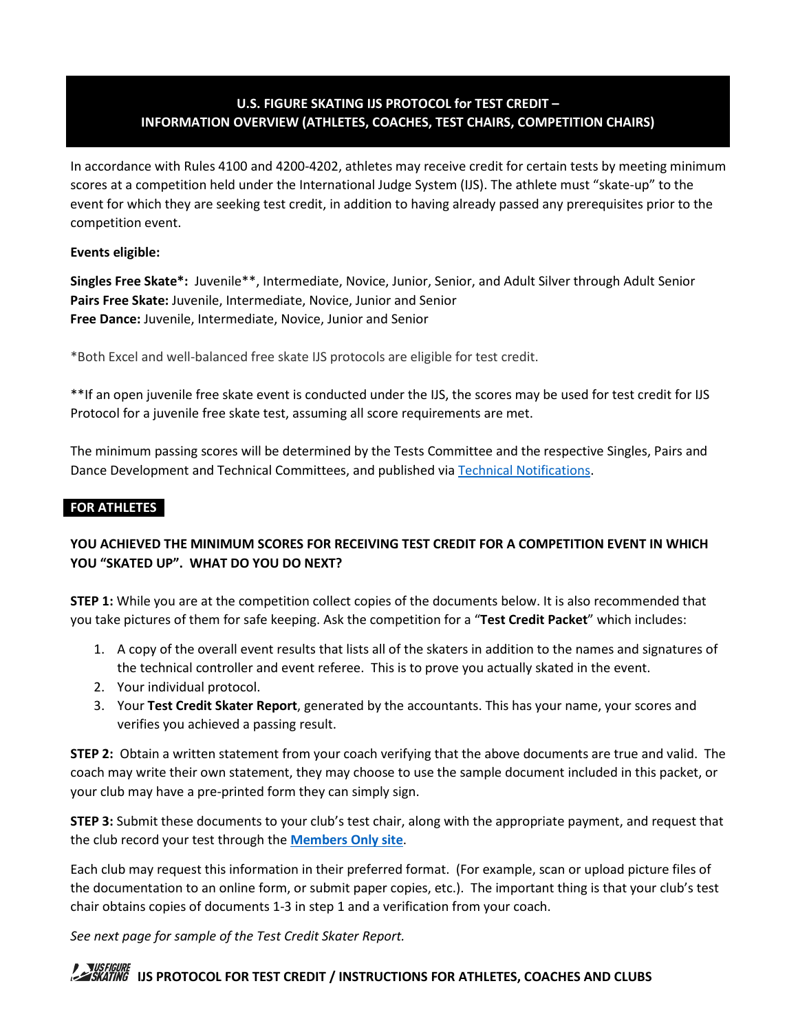# **U.S. FIGURE SKATING IJS PROTOCOL for TEST CREDIT – INFORMATION OVERVIEW (ATHLETES, COACHES, TEST CHAIRS, COMPETITION CHAIRS)**

In accordance with Rules 4100 and 4200-4202, athletes may receive credit for certain tests by meeting minimum scores at a competition held under the International Judge System (IJS). The athlete must "skate-up" to the event for which they are seeking test credit, in addition to having already passed any prerequisites prior to the competition event.

**Events eligible:** 

**Singles Free Skate\*:** Juvenile\*\*, Intermediate, Novice, Junior, Senior, and Adult Silver through Adult Senior **Pairs Free Skate:** Juvenile, Intermediate, Novice, Junior and Senior **Free Dance:** Juvenile, Intermediate, Novice, Junior and Senior

\*Both Excel and well-balanced free skate IJS protocols are eligible for test credit.

\*\*If an open juvenile free skate event is conducted under the IJS, the scores may be used for test credit for IJS Protocol for a juvenile free skate test, assuming all score requirements are met.

The minimum passing scores will be determined by the Tests Committee and the respective Singles, Pairs and Dance Development and Technical Committees, and published vi[a Technical Notifications.](https://www.usfigureskating.org/members-only/members/technical-notifications)

## **FOR ATHLETES**

# **YOU ACHIEVED THE MINIMUM SCORES FOR RECEIVING TEST CREDIT FOR A COMPETITION EVENT IN WHICH YOU "SKATED UP". WHAT DO YOU DO NEXT?**

**STEP 1:** While you are at the competition collect copies of the documents below. It is also recommended that you take pictures of them for safe keeping. Ask the competition for a "**Test Credit Packet**" which includes:

- 1. A copy of the overall event results that lists all of the skaters in addition to the names and signatures of the technical controller and event referee. This is to prove you actually skated in the event.
- 2. Your individual protocol.
- 3. Your **Test Credit Skater Report**, generated by the accountants. This has your name, your scores and verifies you achieved a passing result.

**STEP 2:** Obtain a written statement from your coach verifying that the above documents are true and valid. The coach may write their own statement, they may choose to use the sample document included in this packet, or your club may have a pre-printed form they can simply sign.

**STEP 3:** Submit these documents to your club's test chair, along with the appropriate payment, and request that the club record your test through the **[Members Only site](https://www.usfsaonline.org/)**.

Each club may request this information in their preferred format. (For example, scan or upload picture files of the documentation to an online form, or submit paper copies, etc.). The important thing is that your club's test chair obtains copies of documents 1-3 in step 1 and a verification from your coach.

*See next page for sample of the Test Credit Skater Report.*

# **IS FIGURE 11S PROTOCOL FOR TEST CREDIT / INSTRUCTIONS FOR ATHLETES, COACHES AND CLUBS**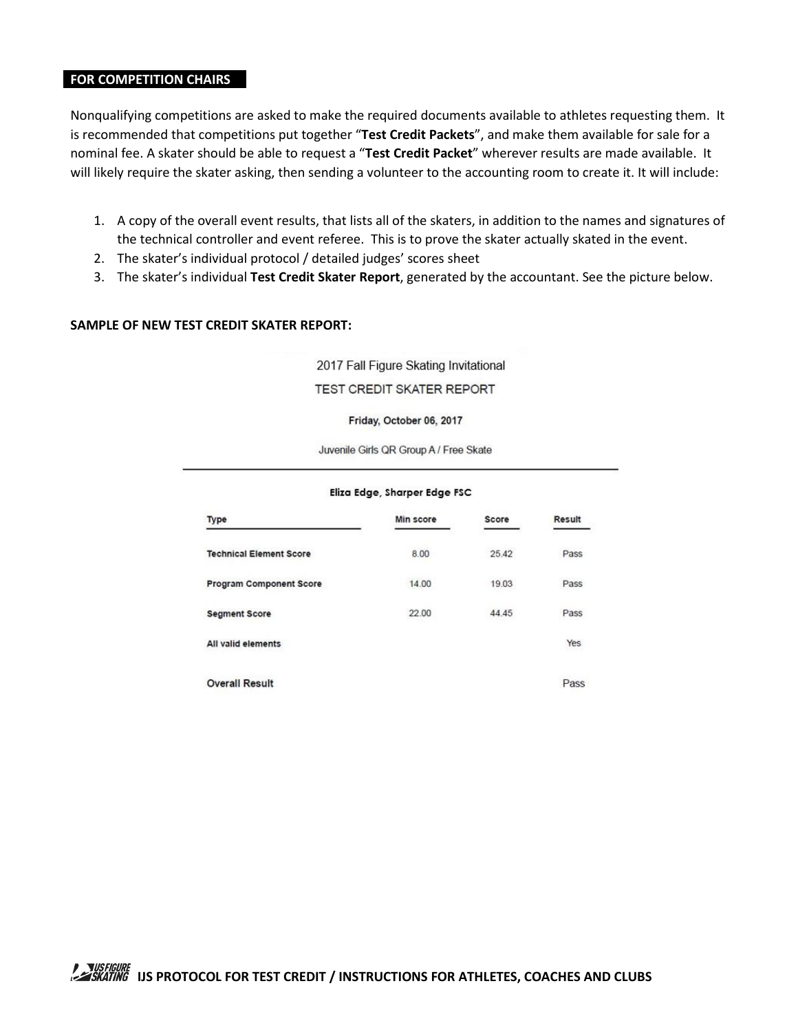## **FOR COMPETITION CHAIRS**

Nonqualifying competitions are asked to make the required documents available to athletes requesting them. It is recommended that competitions put together "**Test Credit Packets**", and make them available for sale for a nominal fee. A skater should be able to request a "**Test Credit Packet**" wherever results are made available. It will likely require the skater asking, then sending a volunteer to the accounting room to create it. It will include:

- 1. A copy of the overall event results, that lists all of the skaters, in addition to the names and signatures of the technical controller and event referee. This is to prove the skater actually skated in the event.
- 2. The skater's individual protocol / detailed judges' scores sheet
- 3. The skater's individual **Test Credit Skater Report**, generated by the accountant. See the picture below.

#### **SAMPLE OF NEW TEST CREDIT SKATER REPORT:**

2017 Fall Figure Skating Invitational TEST CREDIT SKATER REPORT

# Friday, October 06, 2017

Juvenile Girls QR Group A / Free Skate

| Type                           | Min score | Score | Result |
|--------------------------------|-----------|-------|--------|
| <b>Technical Element Score</b> | 8.00      | 25.42 | Pass   |
| <b>Program Component Score</b> | 14.00     | 19.03 | Pass   |
| <b>Segment Score</b>           | 22.00     | 44.45 | Pass   |
| All valid elements             |           |       | Yes    |
| <b>Overall Result</b>          |           |       | Pass   |

####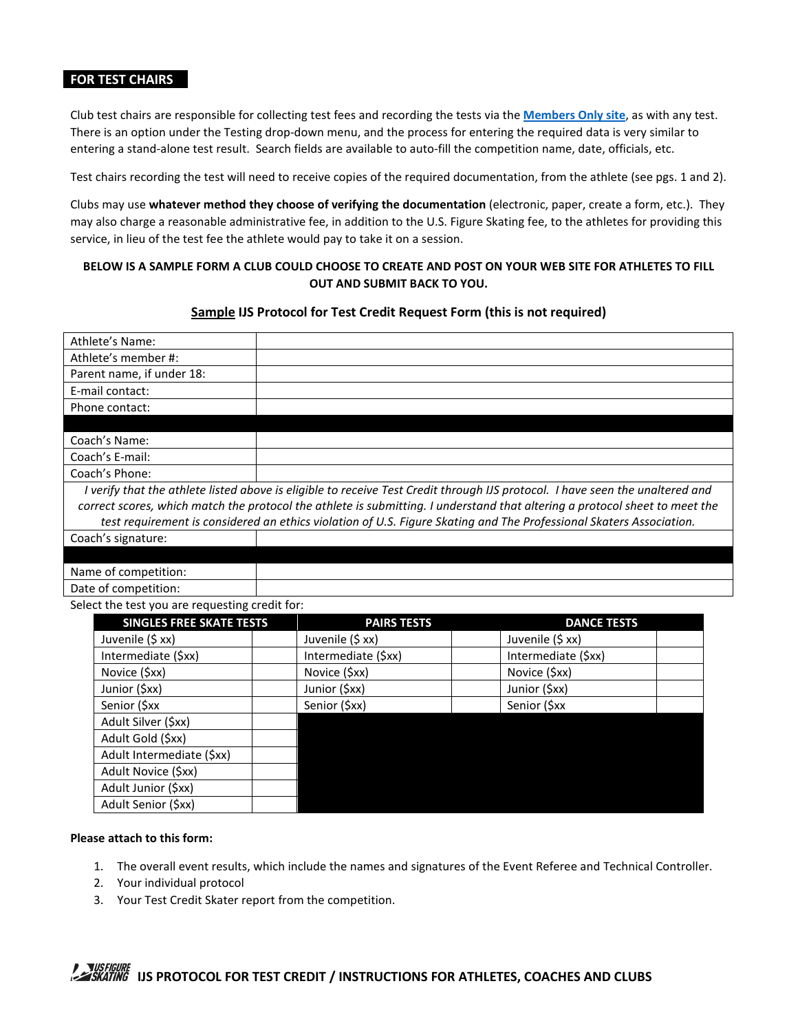### **FOR TEST CHAIRS**

Club test chairs are responsible for collecting test fees and recording the tests via the **[Members Only](https://www.usfsaonline.org/) site**, as with any test. There is an option under the Testing drop-down menu, and the process for entering the required data is very similar to entering a stand-alone test result. Search fields are available to auto-fill the competition name, date, officials, etc.

Test chairs recording the test will need to receive copies of the required documentation, from the athlete (see pgs. 1 and 2).

Clubs may use **whatever method they choose of verifying the documentation** (electronic, paper, create a form, etc.). They may also charge a reasonable administrative fee, in addition to the U.S. Figure Skating fee, to the athletes for providing this service, in lieu of the test fee the athlete would pay to take it on a session.

## **BELOW IS A SAMPLE FORM A CLUB COULD CHOOSE TO CREATE AND POST ON YOUR WEB SITE FOR ATHLETES TO FILL OUT AND SUBMIT BACK TO YOU.**

#### **Sample IJS Protocol for Test Credit Request Form (this is not required)**

| Athlete's Name:                                |                     |                                                                                                                               |
|------------------------------------------------|---------------------|-------------------------------------------------------------------------------------------------------------------------------|
| Athlete's member #:                            |                     |                                                                                                                               |
| Parent name, if under 18:                      |                     |                                                                                                                               |
| E-mail contact:                                |                     |                                                                                                                               |
| Phone contact:                                 |                     |                                                                                                                               |
|                                                |                     |                                                                                                                               |
| Coach's Name:                                  |                     |                                                                                                                               |
| Coach's E-mail:                                |                     |                                                                                                                               |
| Coach's Phone:                                 |                     |                                                                                                                               |
|                                                |                     | I verify that the athlete listed above is eligible to receive Test Credit through IJS protocol. I have seen the unaltered and |
|                                                |                     | correct scores, which match the protocol the athlete is submitting. I understand that altering a protocol sheet to meet the   |
|                                                |                     | test requirement is considered an ethics violation of U.S. Figure Skating and The Professional Skaters Association.           |
| Coach's signature:                             |                     |                                                                                                                               |
|                                                |                     |                                                                                                                               |
| Name of competition:                           |                     |                                                                                                                               |
| Date of competition:                           |                     |                                                                                                                               |
| Select the test you are requesting credit for: |                     |                                                                                                                               |
| <b>SINGLES FREE SKATE TESTS</b>                | <b>PAIRS TESTS</b>  | <b>DANCE TESTS</b>                                                                                                            |
| Juvenile (\$ xx)                               | Juvenile (\$ xx)    | Juvenile (\$ xx)                                                                                                              |
| Intermediate (\$xx)                            | Intermediate (\$xx) | Intermediate (\$xx)                                                                                                           |
| Novice (\$xx)                                  | Novice (\$xx)       | Novice (\$xx)                                                                                                                 |
| Junior (\$xx)                                  | Junior (\$xx)       | Junior (\$xx)                                                                                                                 |
| Senior (\$xx                                   | Senior (\$xx)       | Senior (\$xx                                                                                                                  |
| Adult Silver (\$xx)                            |                     |                                                                                                                               |

| <b>SINGLES FREE SKATE TESTS</b> | <b>PAIRS TESTS</b>  | <b>DANCE TESTS</b>  |
|---------------------------------|---------------------|---------------------|
| Juvenile (\$ xx)                | Juvenile (\$ xx)    | Juvenile (\$ xx)    |
| Intermediate (\$xx)             | Intermediate (\$xx) | Intermediate (\$xx) |
| Novice (\$xx)                   | Novice (\$xx)       | Novice (\$xx)       |
| Junior (\$xx)                   | Junior (\$xx)       | Junior (\$xx)       |
| Senior (\$xx                    | Senior (\$xx)       | Senior (\$xx        |
| Adult Silver (\$xx)             |                     |                     |
| Adult Gold (\$xx)               |                     |                     |
| Adult Intermediate (\$xx)       |                     |                     |
| Adult Novice (\$xx)             |                     |                     |
| Adult Junior (\$xx)             |                     |                     |
| Adult Senior (\$xx)             |                     |                     |

#### **Please attach to this form:**

- 1. The overall event results, which include the names and signatures of the Event Referee and Technical Controller.
- 2. Your individual protocol
- 3. Your Test Credit Skater report from the competition.